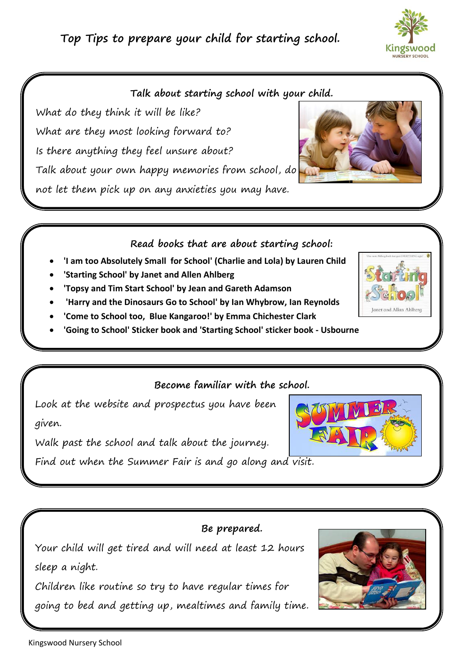# **Top Tips to prepare your child for starting school.**



### **Talk about starting school with your child.**

What do they think it will be like? What are they most looking forward to? Is there anything they feel unsure about? Talk about your own happy memories from school, do not let them pick up on any anxieties you may have.



#### **Read books that are about starting school:**

- **'I am too Absolutely Small for School' (Charlie and Lola) by Lauren Child**
- **'Starting School' by Janet and Allen Ahlberg**
- **'Topsy and Tim Start School' by Jean and Gareth Adamson**
- **'Harry and the Dinosaurs Go to School' by Ian Whybrow, Ian Reynolds**
- **'Come to School too, Blue Kangaroo!' by Emma Chichester Clark**
- **'Going to School' Sticker book and 'Starting School' sticker book - Usbourne**

#### **Become familiar with the school.**

Look at the website and prospectus you have been given.

Walk past the school and talk about the journey.

Find out when the Summer Fair is and go along and visit.



# **Be prepared.**

Your child will get tired and will need at least 12 hours sleep a night.

Children like routine so try to have regular times for going to bed and getting up, mealtimes and family time.



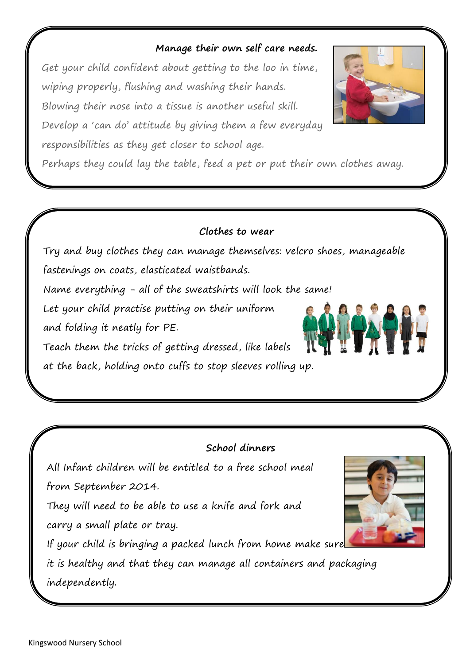# **Manage their own self care needs.**

Get your child confident about getting to the loo in time, wiping properly, flushing and washing their hands. Blowing their nose into a tissue is another useful skill. Develop a 'can do' attitude by giving them a few everyday

responsibilities as they get closer to school age.

Perhaps they could lay the table, feed a pet or put their own clothes away.

# **Clothes to wear**

Try and buy clothes they can manage themselves: velcro shoes, manageable fastenings on coats, elasticated waistbands.

Name everything - all of the sweatshirts will look the same!

Let your child practise putting on their uniform

and folding it neatly for PE.

Teach them the tricks of getting dressed, like labels at the back, holding onto cuffs to stop sleeves rolling up.

# **School dinners**

All Infant children will be entitled to a free school meal from September 2014.

They will need to be able to use a knife and fork and carry a small plate or tray.

If your child is bringing a packed lunch from home make sure

it is healthy and that they can manage all containers and packaging independently.







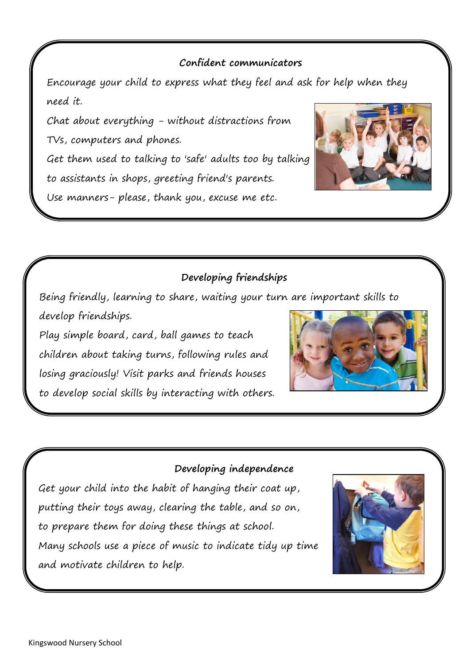## **Confident communicators**

Encourage your child to express what they feel and ask for help when they need it.

Chat about everything - without distractions from TVs, computers and phones.

Get them used to talking to 'safe' adults too by talking to assistants in shops, greeting friend's parents.

Use manners- please, thank you, excuse me etc.



# **Developing friendships**

Being friendly, learning to share, waiting your turn are important skills to develop friendships.

Play simple board, card, ball games to teach children about taking turns, following rules and losing graciously! Visit parks and friends houses to develop social skills by interacting with others.



#### **Developing independence**

Get your child into the habit of hanging their coat up, putting their toys away, clearing the table, and so on, to prepare them for doing these things at school. Many schools use a piece of music to indicate tidy up time and motivate children to help.

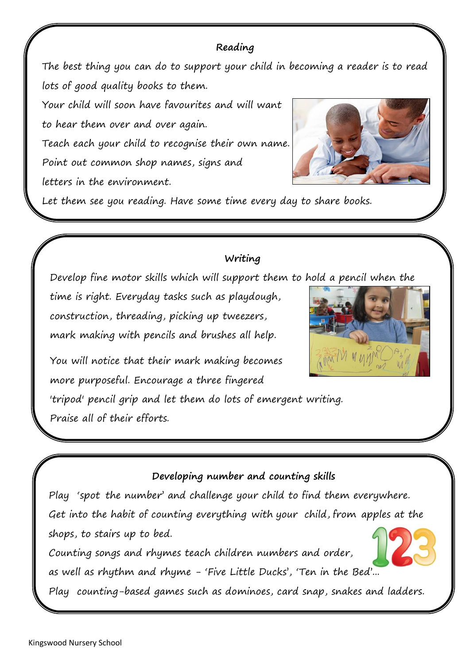# **Reading**

The best thing you can do to support your child in becoming a reader is to read lots of good quality books to them.

Your child will soon have favourites and will want to hear them over and over again. Teach each your child to recognise their own name. Point out common shop names, signs and letters in the environment.



Let them see you reading. Have some time every day to share books.

# **Writing**

Develop fine motor skills which will support them to hold a pencil when the

time is right. Everyday tasks such as playdough, construction, threading, picking up tweezers, mark making with pencils and brushes all help.



You will notice that their mark making becomes more purposeful. Encourage a three fingered

'tripod' pencil grip and let them do lots of emergent writing. Praise all of their efforts.

# **Developing number and counting skills**

Play 'spot the number' and challenge your child to find them everywhere. Get into the habit of counting everything with your child, from apples at the shops, to stairs up to bed.

Counting songs and rhymes teach children numbers and order, as well as rhythm and rhyme - 'Five Little Ducks', 'Ten in the Bed'...

Play counting-based games such as dominoes, card snap, snakes and ladders.